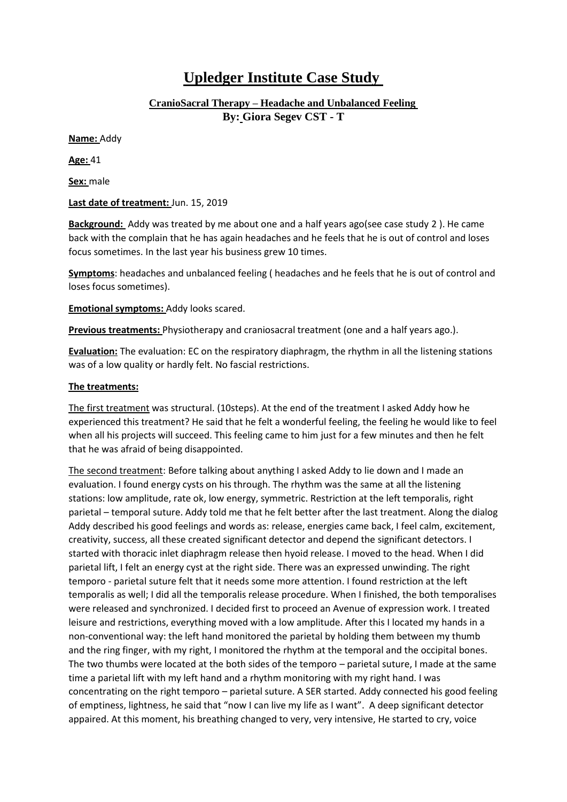## **Upledger Institute Case Study**

**CranioSacral Therapy – Headache and Unbalanced Feeling By: Giora Segev CST - T**

**Name:** Addy

**Age:** 41

**Sex:** male

## **Last date of treatment:** Jun. 15, 2019

**Background:** Addy was treated by me about one and a half years ago(see case study 2 ). He came back with the complain that he has again headaches and he feels that he is out of control and loses focus sometimes. In the last year his business grew 10 times.

**Symptoms**: headaches and unbalanced feeling ( headaches and he feels that he is out of control and loses focus sometimes).

**Emotional symptoms:** Addy looks scared.

**Previous treatments:** Physiotherapy and craniosacral treatment (one and a half years ago.).

**Evaluation:** The evaluation: EC on the respiratory diaphragm, the rhythm in all the listening stations was of a low quality or hardly felt. No fascial restrictions.

## **The treatments:**

The first treatment was structural. (10steps). At the end of the treatment I asked Addy how he experienced this treatment? He said that he felt a wonderful feeling, the feeling he would like to feel when all his projects will succeed. This feeling came to him just for a few minutes and then he felt that he was afraid of being disappointed.

The second treatment: Before talking about anything I asked Addy to lie down and I made an evaluation. I found energy cysts on his through. The rhythm was the same at all the listening stations: low amplitude, rate ok, low energy, symmetric. Restriction at the left temporalis, right parietal – temporal suture. Addy told me that he felt better after the last treatment. Along the dialog Addy described his good feelings and words as: release, energies came back, I feel calm, excitement, creativity, success, all these created significant detector and depend the significant detectors. I started with thoracic inlet diaphragm release then hyoid release. I moved to the head. When I did parietal lift, I felt an energy cyst at the right side. There was an expressed unwinding. The right temporo - parietal suture felt that it needs some more attention. I found restriction at the left temporalis as well; I did all the temporalis release procedure. When I finished, the both temporalises were released and synchronized. I decided first to proceed an Avenue of expression work. I treated leisure and restrictions, everything moved with a low amplitude. After this I located my hands in a non-conventional way: the left hand monitored the parietal by holding them between my thumb and the ring finger, with my right, I monitored the rhythm at the temporal and the occipital bones. The two thumbs were located at the both sides of the temporo – parietal suture, I made at the same time a parietal lift with my left hand and a rhythm monitoring with my right hand. I was concentrating on the right temporo – parietal suture. A SER started. Addy connected his good feeling of emptiness, lightness, he said that "now I can live my life as I want". A deep significant detector appaired. At this moment, his breathing changed to very, very intensive, He started to cry, voice